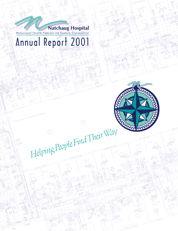# Behavioral Health Options for Eastern Connecticut

Annual Report 2001

*Helping People Find Their Way*

65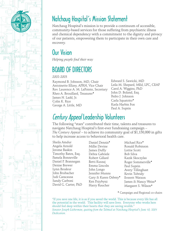

### Natchaug Hospital's Mission Statement

Natchaug Hospital's mission is to provide a continuum of accessible, community-based services for those suffering from psychiatric illness and chemical dependency with a commitment to the dignity and privacy of our patients, empowering them to participate in their own care and recovery.

### Our Vision

*Helping people find their way*

### BOARD OF DIRECTORS

*2002-2003*

Raymond B. Johnson, MD, Chair Antoinette Ellzey, APRN, Vice Chair Rev. Laurence A. M. LaPointe, Secretary Rheo A. Brouillard, Treasurer♦ James N. Ladd, Jr. Colin K. Rice George A. Little, MD

Edward S. Sawicki, MD Leila M. Shepard, MEd, LPC, CEAP Carol A. Wiggins, PhD John D. Boland, Esq. Pedro J. Johnson Carla Squatrito<sup>+</sup> Karla Harbin Fox Paul A. Suprin

### Century Appeal Leadership Volunteers

The following "stars" contributed their time, talents and treasures to navigate Natchaug Hospital's first-ever fundraising campaign – *The Century Appeal* – to achieve its community goal of \$1,150,000 in gifts to help increase access to behavioral health care.

Sheila Amdur Angela Arnold Jerome Baskin Timothy Bates, Esq. Pamela Bonneville Daniel P. Brannegan Denise Brewer Lynn Brodeur John Brubacher Judi Caracausa Sandy Carboni David G. Carter, PhD

Daniel Dennis♦ Millie Devine James Duffy Debra Gabriele Robert Gillard Betti Kuszaj Emma Lincoln John Longo Jennifer Munns Gary & Karen Osbrey♦ Ken Przybysz Harry Raucher

Michael Rice♦ Ronald Robinson Lottie Scott Bob Silva Kazik Skoczylas Roger Sommerville♦ Paul Suprin Avery Tillinghast Kevin Tubridy Everett Watson James & Nancy Weiss♦ Margaret S. Wilson♦

♦ Campaign and Regional co-chairs

"If you save one life, it is as if you saved the world. This is because every life has all the potential in the world. This facility will save lives. Everyone who works here should feel deep within their hearts that they are saving worlds." *Senator Joseph Lieberman, quoting from the Talmud at Natchaug Hospital's June 10, 2001 Dedication.*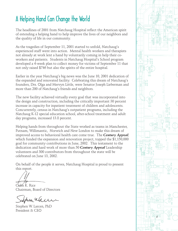### A Helping Hand Can Change the World

The headlines of 2001 from Natchaug Hospital reflect the American spirit of extending a helping hand to help improve the lives of our neighbors and the quality of life in our community.

As the tragedies of September 11, 2001 started to unfold, Natchaug's experienced staff went into action. Mental health workers and therapists not already at work lent a hand by voluntarily coming in help their coworkers and patients. Students in Natchaug Hospital's School program developed a 4-week plan to collect money for victims of September 11 that not only raised \$746 but also the spirits of the entire hospital.

Earlier in the year Natchaug's big news was the June 10, 2001 dedication of the expanded and renovated facility. Celebrating this dream of Natchaug's founders, Drs. Olga and Mervyn Little, were Senator Joseph Lieberman and more than 200 of Natchaug's friends and neighbors.

The new facility achieved virtually every goal that was incorporated into the design and construction, including the critically important 30 percent increase in capacity for inpatient treatment of children and adolescents. Concurrently, census in Natchaug's outpatient programs, including the Natchaug K-12 special education school, after-school treatment and adult day programs, increased 13.8 percent.

Helping hands from throughout the State worked as teams in Manchester, Putnam, Willimantic, Norwich and New London to make this dream of improved access to behavioral health care come true. The *Century Appeal,* which funded the expansion and renovation project, topped the \$1,150,000 goal for community contributions in June, 2002. This testament to the dedication and hard work of more than 50 *Century Appeal* Leadership volunteers and 300 contributors from throughout the state will be celebrated on June 13, 2002.

On behalf of the people it serves, Natchaug Hospital is proud to present this report.

Colin K. Rice Chairman, Board of Directors

chearen

Stephen W. Larcen, PhD President & CEO

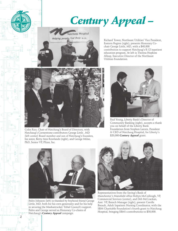## *Century Appeal –*



Richard Tower, Northeast Utilities' Vice President, Eastern Region (right), presents Honorary Cochair George Little, MD, with a \$40,000 contribution to support Natchaug's K-12 inpatient education program. At left is Theresa Hopkins Allsop, Executive Director of the Northeast Utilities Foundation.



Colin Rice, Chair of Natchaug's Board of Directors, with Natchaug's Cornerstone contributors George Little , MD (left center) Board member and son of Natchaug's founders, his sister, Betty Ann Rowlands (right), and George Milne, PhD, Senior VP, Pfizer, Inc.



Paul Young, Liberty Bank's Director of Community Banking (right), accepts a thank you on behalf of the Liberty Bank Foundation from Stephen Larcen, President & CEO of Natchaug Hospital, for Liberty's \$20,000 *Century Appeal* grant.



Pedro Johnson (left) is thanked by boyhood friend George Little, MD, both for his own generosity and for his help in securing the Mashantucket Tribal Council's support. Pedro and George served as Honorary Co-chairs of Natchaug's *Century Appeal* campaign.

*2*



Representatives from the Saving's Bank of Manchester's Mansfield office Robyn McCullough, VP, Commercial Services (center), and Deb McCrackan, Asst. VP, Branch Manager (right), present Carolle Breault, Adult Inpatient Nursing Coordinator, with the SBM Charitable Foundation's fourth grant to Natchaug Hospital, bringing SBM's contributions to \$30,000.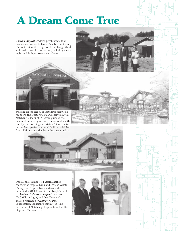## A Dream Come True

*Century Appeal* Leadership volunteers John Brubacher, Everett Watson, Mike Rice and Sandy Carboni review the progress of Natchaug's third and final phase of construction, including a new lobby and 24-hour Assessment Center.



Building on the legacy of Natchaug Hospital's founders, the Doctors Olga and Mervyn Little, Natchaug's Board of Directors pursued the dream of improving access to behavioral health care by transforming the original 1954 structure into today's patient-centered facility. With help from all directions, the dream became a reality.



Heldigag

Dan Dennis, Senior VP, Eastern Market Manager of People's Bank and Marsha Olszta, Manager of People's Bank's Mansfield office, presented a \$10,000 grant from People's Bank to Natchaug's *Century Appeal*. Margaret (Peg) Wilson (right) and Dan Dennis Cochaired Natchaug's *Century Appeal* Southeastern Leadership committee. The portrait is of Natchaug Hospital founders Drs. Olga and Mervyn Little.



*3*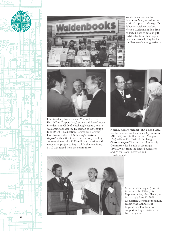



Waldenbooks, at nearby Eastbrook Mall, joined in the spirit of support. Manager Pat Paboulet, with co-workers Vernon Cochran and Jon Prue, collected close to \$500 in gift certificates from their regular customers to help buy books for Natchaug's young patients.



John Meehan, President and CEO of Hartford HealthCare Corporation,(center) and Steve Larcen, President and CEO of Natchaug Hospital, join in welcoming Senator Joe Lieberman to Natchaug's June 10, 2001 Dedication Ceremony. Hartford HealthCare kicked off Natchaug's *Century Appeal* with a \$4 million contribution, enabling construction on the \$5.15 million expansion and renovation project to begin while the remaining \$1.15 was raised from the community.



Natchaug Board member John Boland, Esq., (center) and others look on as Ray Johnson, MD, (left) accepts thanks from Margaret (Peg) Wilson, Co-Chair of Natchaug's *Century Appeal* Southeastern Leadership Committee, for his role in securing a \$100,000 gift from the Pfizer Foundation and Pfizer Global Research and Development.



Senator Edith Prague (center) introduces Pat Dillon, State Representative, New Haven, at Natchaug's June 10, 2001 Dedication Ceremony to join in reading the Connecticut Legislature's Proclamation of support and appreciation for Natchaug's work.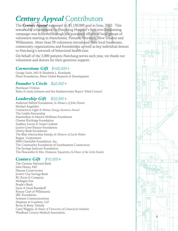### *Century Appeal* Contributors

The *Century Appeal* surpassed its \$1,150,000 goal in June, 2002. This remarkable achievement for Natchaug Hospital's first-ever fundraising campaign was achieved through the sustained efforts of local groups of volunteers meeting in Manchester, Putnam, Norwich, New London and Willimantic. More than 50 volunteers introduced their local businesses, community organizations and foundations as well as key individual donors to Natchaug's network of behavioral health care.

On behalf of the 3,000 patients Natchaug serves each year, we thank our volunteers and donors for their generous support**.**

#### *Cornerstone Gift \$100,000+*

George Little, MD & Elisabeth L. Rowlands Pfizer Foundation, Pfizer Global Research & Development

#### *Founder's Circle \$40,000+*

Northeast Utilities Pedro & Linda Johnson and the Mashantucket Pequot Tribal Council

#### *Leadership Gift \$20,000+*

Anderson Paffard Foundation, *In Memory of John Dennis* Michael Angelides Connecticut Light & Power, *Energy Incentive Award* The Geddis Partnership Maximillian & Marion Hoffman Foundation Chester Kitchings Foundation Stephen Larcen & Susan Graham Lauter-Greer-Flanzer Foundation Liberty Bank Foundation The Blair MacLachlan Family, *In Memory of Lucile Palmer* Rogers Corporation SBM Charitable Foundation, Inc. The Community Foundation of Southeastern Connecticut The Savings Institute Foundation The Honorable & Mrs. Domenic Squatrito, *In Honor of the Little Family*

#### *Century Gift \$10,000+*

The Citizens National Bank John Haney, MD Haynes Construction Jewett City Savings Bank RC Knox & Company Mohegan Sun People's Bank Joyce & Israel Resnikoff Rotary Club of Willimantic SBC Foundation Seimans Communications Shipman & Goodwin, LLP Kevin & Betsy Tubridy Carol Wiggins, *In Honor of University of Connecticut Students* Windham County Medical Association

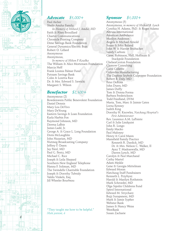

#### *Advocate \$5,000+*

Paul Aicher Sheila Amdur Family, *In Memory of Millard J. Amdur, MD* Faith & Rheo Brouillard Charter Communications Chronicle Printing Company Dime Savings Bank Foundation General Dynamics/Electric Boat Robert O. Gillard Anonymous Anonymous, *In memory of Milton P. Kozelka* The William & Alice Mortensen Foundation Marcia Neff Frank Loomis Palmer Fund Putnam Savings Bank Colin & Loretta Rice Dr. & Mrs. Edward S. Sawicki Margaret S. Wilson

#### *Benefactor \$2,500+*

Anonymous (2) Bowdenwein Public Benevolent Foundation Daniel Dennis Mary Lou DeVivo Mary DeYoung Eastern Savings & Loan Foundation Karla Harbin Fox Raymond Johnson, MD Dawna LaBrie James Ladd, Jr. George A. & Grace L. Long Foundation Doris McLaughlin John Nazarian, MD Nutmeg Broadcasting Company Jeffrey P. Ossen Jay Patel, MD Paul G. Pentz, MD Michael C. Rice Joseph & Leila Shepard Southern New England Telephone Hanna F. Soliman, MD The Swindells Charitable Foundation Joseph & Dorothy Tubridy Valdis Vinkels, Esq. Jill Wheeler Bourbeau

"They taught me how to be helpful." *Male patient, 6*

#### *Sponsor \$1,000+*

Anonymous (5) Anonymous, *in memory of Michael B. Lynch* Cynthia H. Adams, PhD. & Roger Adams Altrusa International American Ambulance Marilyn Anderson Angela & Michael Arnold Susan & John Boland John W. & Harriet Brubacher Sandy Carboni Carse, Robinson, Hall, Hoffman & Stackpole Foundation ChelseaGroton Foundation Clemow Consulting Carol Collette Columbia Manufacturing The Daphne Seybolt Culpepper Foundation Robert B. Daly, MD Peter DeRosa John Duers, MD James Duffy Tom & Donna Forma Barbara Frederickson Todd Friedland, DVM Maria, Tom, Marc & Jaimie Gates Lorna Kenney Judith King Dorothy H. Knowles, *Natchaug Hospital's First Administrator* Rev. Laurence A.M. LaPointe Carl & Julie Lindquist John R. Longo Emily Macko Paul Maloney Henry & Carol Mann Mansfield Family Practice Kenneth R. Dardick, MD Dr. & Mrs. Nelson C. Walker, II Ayaz T. Madraswalla, MD Darren Lynch, MD Carolyn & Paul Marchand Cathy Martel Adam Meikle Gene & Georgia Mittelman Edward Moran Natchaug Staff Fundraisers Kenneth L. Przybysz Harold & Marilyn Rothstein Mark Schroeder, MD Olga Sipolin Childrens Fund Spirol International Edward M. Strycharz Bujji Surapaneni, MD Mark & Jamie Sypher Webster Bank James & Nancy Weiss WestBank Susan Zacharie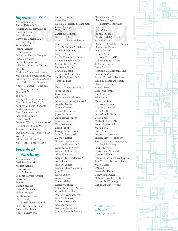#### *Supporter \$500+*

Anonymous (6) Tim & Deborah Bates Richard A. & Mary Brvenik Paula Cahalan Ronald Coderre Wayne H. Cotton, DO Jo-Ann Feeley Susan Grace Jeanne Graham Irene Haskew Diane and Donald Hodgins Brian Jaworowski Keeper Corporation J. Kevin & Margaret Kinsella Eli Lilly Anthony & Kimberly Morelli Maria Nelly Nepomuceno, MD Srimathie Nissanka, *In Memory of Mr. & Mrs. Obeyesekere* Robert & Margaret Patricelli Family Foundation Phalo/CDT Sue Rasie Rotary Club of Danielson Cynthia Saunders, Psy.D. Kenneth & Betsey Schooff Linda Schramm Peter Sugerman, MD Jackson P. Sumner Joan C. Walker Deborah Walsh, In Memory of Robert M. Skip Walsh The Waterford Group Douglas M. Whittemore, MD Wile Motors Inc. Willimantic Lions Club Mary Ann & Barry Wilson

#### *Friends of Natchaug*

Anonymous (18) Patricia Adamoski Melissa Agnelli Joann Averill John G. Barlas Cynthia Barrett-Alvarez Doris Bassett Ben Bolt Carolle Breault Joan M. Brickner Nelson Bridges Bert & Gloria Brine Mark Haigh, BristolMeyers Squibb Helen Rowland Browne Brenda Buchbinder Robert Bundy, MD

Mark Cesaro Dale M. & Helen B. Chapman Oliver Chappell Kathy Chase Matthew Clinton Richard Cobb Maury Cohn Foundation James Colway Eli K. & Shirley A. Dabora Joseph F. Dannehy Lucy J. Demars Leo & Theresa Desjarlais Robert F. Dibble, MD Orland Donald, MD Lawrence Ducat Francis Duggan Fe rnand & Rita Duval Sandra Dykhuis, MD Timothy Ellis Joe Freeman Kristin Gildersleeve, MD Joyce Goodale Geoff Gratton Christine Hawthorne Karin J. Hemmingsen, MD Angela Hewitt Karen Hickey Diana Hutchinson Janet M. Izzo Alice Bertha Jansen Eileen E. Jansen Kim Jaskiewicz Karen Jones George & Janet Jones Peter D. Jones, MD Michael Kaiser Robert Kazarian Michael Keenan, MD Mary Kinsella-Shaw Michael Kolesinsky Aline Konarski Ralph J. LaGuardia, MD Anna Lane Jean M. Lenard Lions Club of Coventry Joan C. Lisi David Lucier Marie Lutsky Tracey Maheu Diane Manning Lillian & George Marlow Carol E. McMillan Walter T. McPhee, MD Kim Michonski Robert Moes, MD Barbara Moore Barbara Moore, RN Jannatul Mujib-Ferdous

Jeanne Cassone

Nadia Nashid, MD Natchaug Hospital Dietary Department Jane Neu Lynn O'Neal Johnny Pacheco Elizabeth (Lila) T. Packer Barbara Pajak David D. & Natalie L. Palmer Florence A. Palmer Donna Perron Jerome Perry Marjorie Petro, MD Colleen Phillips-White T. Anita Powers Paula Purvis Republic Oil Company, Inc. Lillian Rhodes Ron & Christine Robinson William & Barbara Rosen Elaine C. Royster Ann C. Ryan Catherine Ryan Carol Salonia Billie Salter Mayra Santana Maureen Scalora Charles Schneider Lottie Scott Jacqueline R. Seide Claire Shea Michael Shore, MD Stuart & Joan Sidney Maria Silva Garth Smith Denise St. Germain Sharon Stables-Kinghorn Timothy Stanley, *In Honor of Dr. John Haney* Linda Stevens Christopher Strickett Wendy Sullivan Paul A. & Kathleen M. Suprin The Citizens National Bank Marcia Torre UNICO Frank Von Duntz Cindy Von Duntz Nelson C. Walker, II, MD Barbara B. Weinberg Windham Water Works

"Staff helped me to be safe." *Female patient, 8*

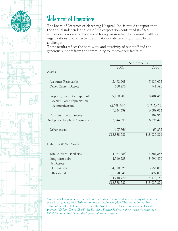

### Statement of Operations

The Board of Directors of Natchaug Hospital, Inc. is proud to report that the annual independent audit of the corporation confirmed its fiscal soundness, a notable achievement for a year in which behavioral health care organizations in Connecticut and nation-wide faced significant fiscal challenges.

These results reflect the hard work and creativity of our staff and the generous support from the community to improve our facilities.

|                                            | September 30 |              |
|--------------------------------------------|--------------|--------------|
|                                            | 2001         | 2000         |
| Assets                                     |              |              |
| Accounts Receivable                        | 5,492,908    | 5,420,022    |
| Other Current Assets                       | 688,276      | 741,590      |
| Property, plant & equipment                | 9,138,283    | 8,404,465    |
| Accumulated depreciation<br>& amortization | (2,093,644)  | (1,715,401)  |
|                                            | 7,044,639    | 6,689,064    |
| Construction in Process                    |              | 107,363      |
| Net property, plant& equipment             | 7,044,639    | 6,796,427    |
| Other assets                               | 107,766      | 67,855       |
|                                            | \$13,333,589 | \$13,025,894 |
| Liabilities & Net Assets                   |              |              |
| Total current Liabilities                  | 4,074,386    | 4,581,346    |
| Long-term debt                             | 4,540,233    | 3,996,400    |
| Net Assets:                                |              |              |
| Unrestricted                               | 4,328,025    | 3,956,053    |
| Restricted                                 | 390,945      | 492,095      |
|                                            | 4,718,970    | 4,448,148    |
|                                            | \$13,333,589 | \$13,025,894 |
|                                            |              |              |

"We do not know of any other school that takes in new students from anywhere in the state in all grades, with little or no notice, nearly everyday. This certainly requires an extraordinary level of support, which the Northeast Utilities Foundation is pleased to provide*." Richard Tower, CL&P Vice President, Eastern Region, on the occasion of presenting a \$40,000 grant to Natchaug's K-12 special education program.*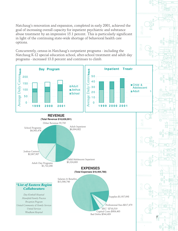Natchaug's renovation and expansion, completed in early 2001, achieved the goal of increasing overall capacity for inpatient psychiatric and substance abuse treatment by an impressive 15.1 percent. This is particularly significant in light of the continuing state-wide shortage of behavioral health care options.

Concurrently, census in Natchaug's outpatient programs - including the Natchaug K-12 special education school, after-school treatment and adult day programs - increased 13.8 percent and continues to climb.